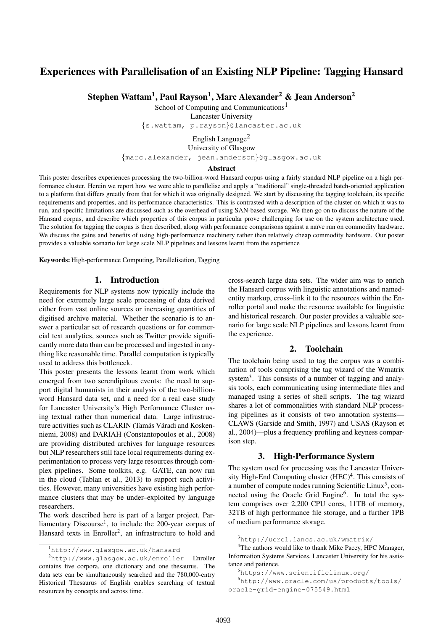# Experiences with Parallelisation of an Existing NLP Pipeline: Tagging Hansard

Stephen Wattam<sup>1</sup>, Paul Rayson<sup>1</sup>, Marc Alexander<sup>2</sup> & Jean Anderson<sup>2</sup>

School of Computing and Communications<sup>1</sup>

Lancaster University

{s.wattam, p.rayson}@lancaster.ac.uk

English Language $<sup>2</sup>$ </sup> University of Glasgow

{marc.alexander, jean.anderson}@glasgow.ac.uk

#### Abstract

This poster describes experiences processing the two-billion-word Hansard corpus using a fairly standard NLP pipeline on a high performance cluster. Herein we report how we were able to parallelise and apply a "traditional" single-threaded batch-oriented application to a platform that differs greatly from that for which it was originally designed. We start by discussing the tagging toolchain, its specific requirements and properties, and its performance characteristics. This is contrasted with a description of the cluster on which it was to run, and specific limitations are discussed such as the overhead of using SAN-based storage. We then go on to discuss the nature of the Hansard corpus, and describe which properties of this corpus in particular prove challenging for use on the system architecture used. The solution for tagging the corpus is then described, along with performance comparisons against a naïve run on commodity hardware. We discuss the gains and benefits of using high-performance machinery rather than relatively cheap commodity hardware. Our poster provides a valuable scenario for large scale NLP pipelines and lessons learnt from the experience

Keywords: High-performance Computing, Parallelisation, Tagging

#### 1. Introduction

Requirements for NLP systems now typically include the need for extremely large scale processing of data derived either from vast online sources or increasing quantities of digitised archive material. Whether the scenario is to answer a particular set of research questions or for commercial text analytics, sources such as Twitter provide significantly more data than can be processed and ingested in anything like reasonable time. Parallel computation is typically used to address this bottleneck.

This poster presents the lessons learnt from work which emerged from two serendipitous events: the need to support digital humanists in their analysis of the two-billionword Hansard data set, and a need for a real case study for Lancaster University's High Performance Cluster using textual rather than numerical data. Large infrastructure activities such as CLARIN (Tamás Váradi and Kosken[niemi, 2008\)](#page-3-0) and DARIAH [\(Constantopoulos et al., 2008\)](#page-3-1) are providing distributed archives for language resources but NLP researchers still face local requirements during experimentation to process very large resources through complex pipelines. Some toolkits, e.g. GATE, can now run in the cloud [\(Tablan et al., 2013\)](#page-3-2) to support such activities. However, many universities have existing high performance clusters that may be under–exploited by language researchers.

The work described here is part of a larger project, Par-liamentary Discourse<sup>[1](#page-0-0)</sup>, to include the 200-year corpus of Hansard texts in Enroller<sup>[2](#page-0-1)</sup>, an infrastructure to hold and cross-search large data sets. The wider aim was to enrich the Hansard corpus with linguistic annotations and namedentity markup, cross–link it to the resources within the Enroller portal and make the resource available for linguistic and historical research. Our poster provides a valuable scenario for large scale NLP pipelines and lessons learnt from the experience.

## 2. Toolchain

The toolchain being used to tag the corpus was a combination of tools comprising the tag wizard of the Wmatrix system<sup>[3](#page-0-2)</sup>. This consists of a number of tagging and analysis tools, each communicating using intermediate files and managed using a series of shell scripts. The tag wizard shares a lot of commonalities with standard NLP processing pipelines as it consists of two annotation systems— CLAWS [\(Garside and Smith, 1997\)](#page-3-3) and USAS [\(Rayson et](#page-3-4) [al., 2004\)](#page-3-4)—plus a frequency profiling and keyness comparison step.

# 3. High-Performance System

The system used for processing was the Lancaster Univer-sity High-End Computing cluster (HEC)<sup>[4](#page-0-3)</sup>. This consists of a number of compute nodes running Scientific Linux<sup>[5](#page-0-4)</sup>, con-nected using the Oracle Grid Engine<sup>[6](#page-0-5)</sup>. In total the system comprises over 2,200 CPU cores, 11TB of memory, 32TB of high performance file storage, and a further 1PB of medium performance storage.

<span id="page-0-1"></span><span id="page-0-0"></span><sup>1</sup><http://www.glasgow.ac.uk/hansard>

<sup>2</sup><http://www.glasgow.ac.uk/enroller> Enroller contains five corpora, one dictionary and one thesaurus. The data sets can be simultaneously searched and the 780,000-entry Historical Thesaurus of English enables searching of textual resources by concepts and across time.

<span id="page-0-3"></span><span id="page-0-2"></span><sup>3</sup><http://ucrel.lancs.ac.uk/wmatrix/>

<sup>&</sup>lt;sup>4</sup>The authors would like to thank Mike Pacey, HPC Manager, Information Systems Services, Lancaster University for his assistance and patience.

<span id="page-0-5"></span><span id="page-0-4"></span><sup>5</sup><https://www.scientificlinux.org/>

<sup>6</sup>[http://www.oracle.com/us/products/tools/](http://www.oracle.com/us/products/tools/oracle-grid-engine-075549.html) [oracle-grid-engine-075549.html](http://www.oracle.com/us/products/tools/oracle-grid-engine-075549.html)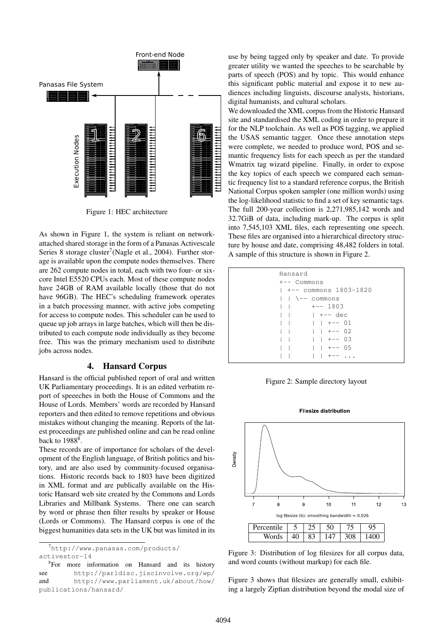

<span id="page-1-0"></span>Figure 1: HEC architecture

As shown in Figure [1,](#page-1-0) the system is reliant on networkattached shared storage in the form of a Panasas Activescale Series 8 storage cluster<sup>[7](#page-1-1)</sup> [\(Nagle et al., 2004\)](#page-3-5). Further storage is available upon the compute nodes themselves. There are 262 compute nodes in total, each with two four- or sixcore Intel E5520 CPUs each. Most of these compute nodes have 24GB of RAM available locally (those that do not have 96GB). The HEC's scheduling framework operates in a batch processing manner, with active jobs competing for access to compute nodes. This scheduler can be used to queue up job arrays in large batches, which will then be distributed to each compute node individually as they become free. This was the primary mechanism used to distribute jobs across nodes.

## 4. Hansard Corpus

Hansard is the official published report of oral and written UK Parliamentary proceedings. It is an edited verbatim report of speeeches in both the House of Commons and the House of Lords. Members' words are recorded by Hansard reporters and then edited to remove repetitions and obvious mistakes without changing the meaning. Reports of the latest proceedings are published online and can be read online back to  $1988<sup>8</sup>$  $1988<sup>8</sup>$  $1988<sup>8</sup>$ .

These records are of importance for scholars of the development of the English language, of British politics and history, and are also used by community-focused organisations. Historic records back to 1803 have been digitized in XML format and are publically available on the Historic Hansard web site created by the Commons and Lords Libraries and Millbank Systems. There one can search by word or phrase then filter results by speaker or House (Lords or Commons). The Hansard corpus is one of the biggest humanities data sets in the UK but was limited in its

<span id="page-1-1"></span> $^{7}$ [http://www.panasas.com/products/](http://www.panasas.com/products/activestor-14) [activestor-14](http://www.panasas.com/products/activestor-14)

<span id="page-1-2"></span><sup>8</sup>For more information on Hansard and its history see <http://parldisc.jiscinvolve.org/wp/> and [http://www.parliament.uk/about/how/](http://www.parliament.uk/about/how/publications/hansard/) [publications/hansard/](http://www.parliament.uk/about/how/publications/hansard/)

use by being tagged only by speaker and date. To provide greater utility we wanted the speeches to be searchable by parts of speech (POS) and by topic. This would enhance this significant public material and expose it to new audiences including linguists, discourse analysts, historians, digital humanists, and cultural scholars.

We downloaded the XML corpus from the Historic Hansard site and standardised the XML coding in order to prepare it for the NLP toolchain. As well as POS tagging, we applied the USAS semantic tagger. Once these annotation steps were complete, we needed to produce word, POS and semantic frequency lists for each speech as per the standard Wmatrix tag wizard pipeline. Finally, in order to expose the key topics of each speech we compared each semantic frequency list to a standard reference corpus, the British National Corpus spoken sampler (one million words) using the log-likelihood statistic to find a set of key semantic tags. The full 200-year collection is 2,271,985,142 words and 32.7GiB of data, including mark-up. The corpus is split into 7,545,103 XML files, each representing one speech. These files are organised into a hierarchical directory structure by house and date, comprising 48,482 folders in total. A sample of this structure is shown in Figure [2.](#page-1-3)

| Hansard<br>$+--$ Commons                    |
|---------------------------------------------|
| l +-- commons 1803-1820                     |
| l l \-- commons<br>$\vert \ \vert$ +-- 1803 |
|                                             |
| +-- 01                                      |
| $1 + - 02$<br>$\mathbf{1}$                  |
| $1 + - - 03$                                |
| $1 + - - 05$                                |
| $+--$                                       |

<span id="page-1-3"></span>Figure 2: Sample directory layout



**Filesize distribution** 

<span id="page-1-4"></span>Figure 3: Distribution of log filesizes for all corpus data, and word counts (without markup) for each file.

Figure [3](#page-1-4) shows that filesizes are generally small, exhibiting a largely Zipfian distribution beyond the modal size of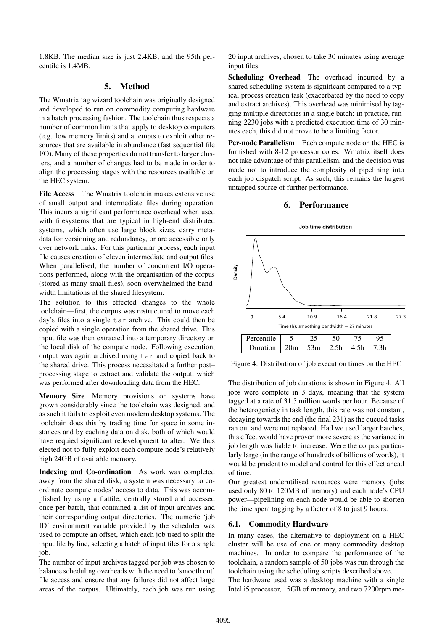1.8KB. The median size is just 2.4KB, and the 95th percentile is 1.4MB.

# 5. Method

The Wmatrix tag wizard toolchain was originally designed and developed to run on commodity computing hardware in a batch processing fashion. The toolchain thus respects a number of common limits that apply to desktop computers (e.g. low memory limits) and attempts to exploit other resources that are available in abundance (fast sequential file I/O). Many of these properties do not transfer to larger clusters, and a number of changes had to be made in order to align the processing stages with the resources available on the HEC system.

File Access The Wmatrix toolchain makes extensive use of small output and intermediate files during operation. This incurs a significant performance overhead when used with filesystems that are typical in high-end distributed systems, which often use large block sizes, carry metadata for versioning and redundancy, or are accessible only over network links. For this particular process, each input file causes creation of eleven intermediate and output files. When parallelised, the number of concurrent I/O operations performed, along with the organisation of the corpus (stored as many small files), soon overwhelmed the bandwidth limitations of the shared filesystem.

The solution to this effected changes to the whole toolchain—first, the corpus was restructured to move each day's files into a single tar archive. This could then be copied with a single operation from the shared drive. This input file was then extracted into a temporary directory on the local disk of the compute node. Following execution, output was again archived using tar and copied back to the shared drive. This process necessitated a further post– processing stage to extract and validate the output, which was performed after downloading data from the HEC.

Memory Size Memory provisions on systems have grown considerably since the toolchain was designed, and as such it fails to exploit even modern desktop systems. The toolchain does this by trading time for space in some instances and by caching data on disk, both of which would have requied significant redevelopment to alter. We thus elected not to fully exploit each compute node's relatively high 24GB of available memory.

Indexing and Co-ordination As work was completed away from the shared disk, a system was necessary to coordinate compute nodes' access to data. This was accomplished by using a flatfile, centrally stored and accessed once per batch, that contained a list of input archives and their corresponding output directories. The numeric 'job ID' environment variable provided by the scheduler was used to compute an offset, which each job used to split the input file by line, selecting a batch of input files for a single job.

The number of input archives tagged per job was chosen to balance scheduling overheads with the need to 'smooth out' file access and ensure that any failures did not affect large areas of the corpus. Ultimately, each job was run using 20 input archives, chosen to take 30 minutes using average input files.

Scheduling Overhead The overhead incurred by a shared scheduling system is significant compared to a typical process creation task (exacerbated by the need to copy and extract archives). This overhead was minimised by tagging multiple directories in a single batch: in practice, running 2230 jobs with a predicted execution time of 30 minutes each, this did not prove to be a limiting factor.

Per-node Parallelism Each compute node on the HEC is furnished with 8-12 processor cores. Wmatrix itself does not take advantage of this parallelism, and the decision was made not to introduce the complexity of pipelining into each job dispatch script. As such, this remains the largest untapped source of further performance.

#### 6. Performance



<span id="page-2-0"></span>Figure 4: Distribution of job execution times on the HEC

The distribution of job durations is shown in Figure [4.](#page-2-0) All jobs were complete in 3 days, meaning that the system tagged at a rate of 31.5 million words per hour. Because of the heterogeniety in task length, this rate was not constant, decaying towards the end (the final 231) as the queued tasks ran out and were not replaced. Had we used larger batches, this effect would have proven more severe as the variance in job length was liable to increase. Were the corpus particularly large (in the range of hundreds of billions of words), it would be prudent to model and control for this effect ahead of time.

Our greatest underutilised resources were memory (jobs used only 80 to 120MB of memory) and each node's CPU power—pipelining on each node would be able to shorten the time spent tagging by a factor of 8 to just 9 hours.

## 6.1. Commodity Hardware

In many cases, the alternative to deployment on a HEC cluster will be use of one or many commodity desktop machines. In order to compare the performance of the toolchain, a random sample of 50 jobs was run through the toolchain using the scheduling scripts described above.

The hardware used was a desktop machine with a single Intel i5 processor, 15GB of memory, and two 7200rpm me